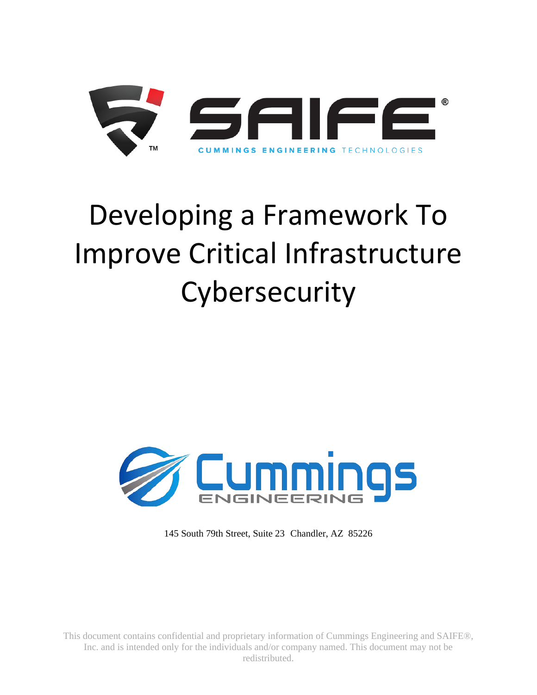

# Developing a Framework To Improve Critical Infrastructure **Cybersecurity**



145 South 79th Street, Suite 23 Chandler, AZ 85226

This document contains confidential and proprietary information of Cummings Engineering and SAIFE®, Inc. and is intended only for the individuals and/or company named. This document may not be redistributed.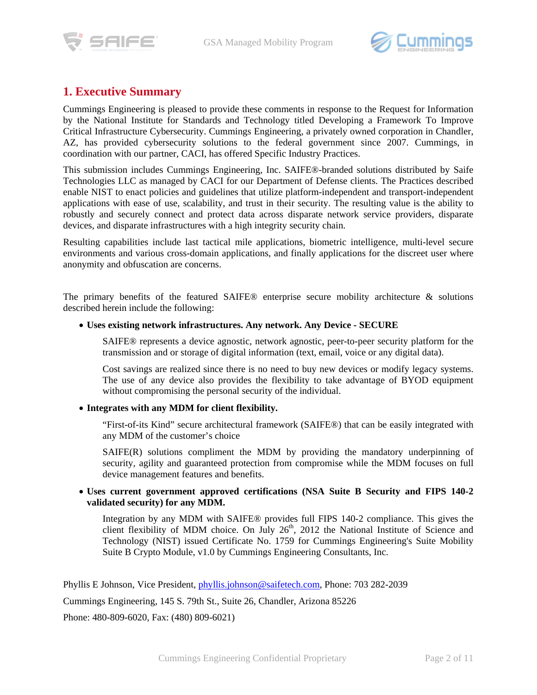



# **1. Executive Summary**

Cummings Engineering is pleased to provide these comments in response to the Request for Information by the National Institute for Standards and Technology titled Developing a Framework To Improve Critical Infrastructure Cybersecurity. Cummings Engineering, a privately owned corporation in Chandler, AZ, has provided cybersecurity solutions to the federal government since 2007. Cummings, in coordination with our partner, CACI, has offered Specific Industry Practices.

This submission includes Cummings Engineering, Inc. SAIFE®-branded solutions distributed by Saife Technologies LLC as managed by CACI for our Department of Defense clients. The Practices described enable NIST to enact policies and guidelines that utilize platform-independent and transport-independent applications with ease of use, scalability, and trust in their security. The resulting value is the ability to robustly and securely connect and protect data across disparate network service providers, disparate devices, and disparate infrastructures with a high integrity security chain.

Resulting capabilities include last tactical mile applications, biometric intelligence, multi-level secure environments and various cross-domain applications, and finally applications for the discreet user where anonymity and obfuscation are concerns.

The primary benefits of the featured SAIFE® enterprise secure mobility architecture  $\&$  solutions described herein include the following:

#### • **Uses existing network infrastructures. Any network. Any Device - SECURE**

SAIFE® represents a device agnostic, network agnostic, peer-to-peer security platform for the transmission and or storage of digital information (text, email, voice or any digital data).

Cost savings are realized since there is no need to buy new devices or modify legacy systems. The use of any device also provides the flexibility to take advantage of BYOD equipment without compromising the personal security of the individual.

#### • **Integrates with any MDM for client flexibility.**

"First-of-its Kind" secure architectural framework (SAIFE®) that can be easily integrated with any MDM of the customer's choice

SAIFE(R) solutions compliment the MDM by providing the mandatory underpinning of security, agility and guaranteed protection from compromise while the MDM focuses on full device management features and benefits.

#### • **Uses current government approved certifications (NSA Suite B Security and FIPS 140-2 validated security) for any MDM.**

Integration by any MDM with SAIFE® provides full FIPS 140-2 compliance. This gives the client flexibility of MDM choice. On July  $26<sup>th</sup>$ , 2012 the National Institute of Science and Technology (NIST) issued Certificate No. 1759 for Cummings Engineering's Suite Mobility Suite B Crypto Module, v1.0 by Cummings Engineering Consultants, Inc.

Phyllis E Johnson, Vice President, [phyllis.johnson@saifetech.com,](mailto:phyllis.johnson@saifetech.com) Phone: 703 282-2039

Cummings Engineering, 145 S. 79th St., Suite 26, Chandler, Arizona 85226

Phone: 480-809-6020, Fax: (480) 809-6021)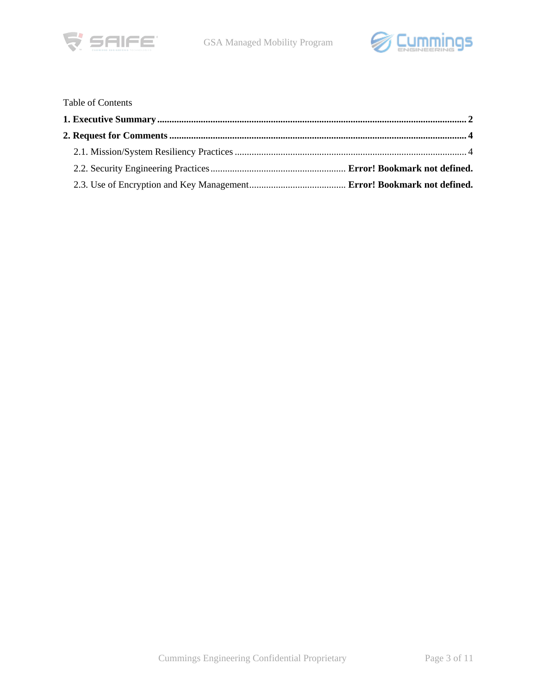



## Table of Contents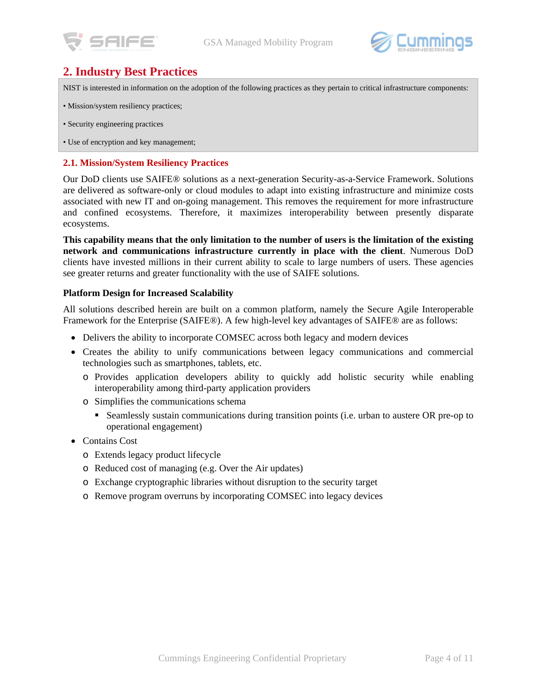



# **2. Industry Best Practices**

NIST is interested in information on the adoption of the following practices as they pertain to critical infrastructure components:

- Mission/system resiliency practices;
- Security engineering practices
- Use of encryption and key management;

#### **2.1. Mission/System Resiliency Practices**

Our DoD clients use SAIFE® solutions as a next-generation Security-as-a-Service Framework. Solutions are delivered as software-only or cloud modules to adapt into existing infrastructure and minimize costs associated with new IT and on-going management. This removes the requirement for more infrastructure and confined ecosystems. Therefore, it maximizes interoperability between presently disparate ecosystems.

**This capability means that the only limitation to the number of users is the limitation of the existing network and communications infrastructure currently in place with the client**. Numerous DoD clients have invested millions in their current ability to scale to large numbers of users. These agencies see greater returns and greater functionality with the use of SAIFE solutions.

#### **Platform Design for Increased Scalability**

All solutions described herein are built on a common platform, namely the Secure Agile Interoperable Framework for the Enterprise (SAIFE®). A few high-level key advantages of SAIFE® are as follows:

- Delivers the ability to incorporate COMSEC across both legacy and modern devices
- Creates the ability to unify communications between legacy communications and commercial technologies such as smartphones, tablets, etc.
	- o Provides application developers ability to quickly add holistic security while enabling interoperability among third-party application providers
	- o Simplifies the communications schema
		- Seamlessly sustain communications during transition points (i.e. urban to austere OR pre-op to operational engagement)
- Contains Cost
	- o Extends legacy product lifecycle
	- o Reduced cost of managing (e.g. Over the Air updates)
	- o Exchange cryptographic libraries without disruption to the security target
	- o Remove program overruns by incorporating COMSEC into legacy devices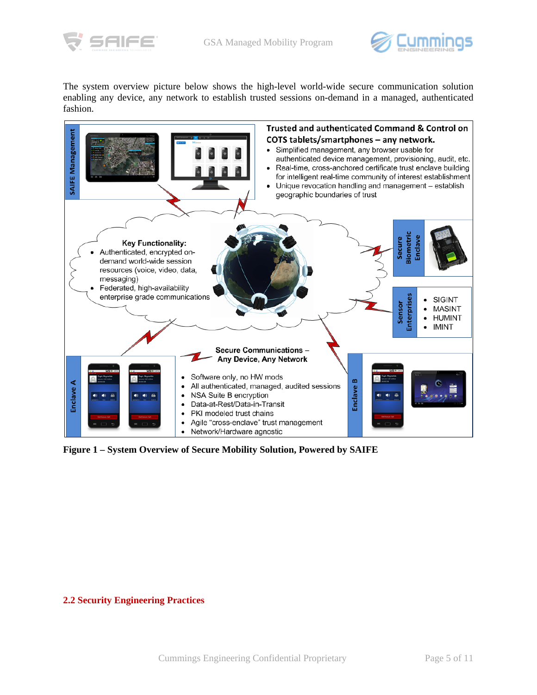



The system overview picture below shows the high-level world-wide secure communication solution enabling any device, any network to establish trusted sessions on-demand in a managed, authenticated fashion.



**Figure 1 – System Overview of Secure Mobility Solution, Powered by SAIFE**

#### **2.2 Security Engineering Practices**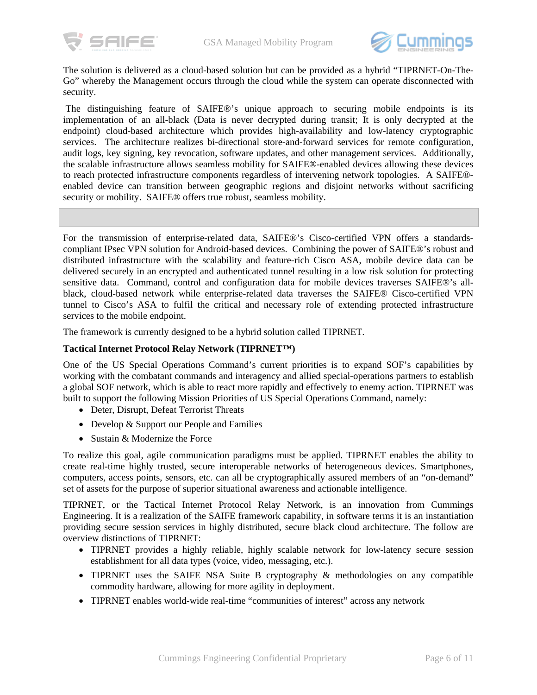



The solution is delivered as a cloud-based solution but can be provided as a hybrid "TIPRNET-On-The-Go" whereby the Management occurs through the cloud while the system can operate disconnected with security.

The distinguishing feature of SAIFE®'s unique approach to securing mobile endpoints is its implementation of an all-black (Data is never decrypted during transit; It is only decrypted at the endpoint) cloud-based architecture which provides high-availability and low-latency cryptographic services. The architecture realizes bi-directional store-and-forward services for remote configuration, audit logs, key signing, key revocation, software updates, and other management services. Additionally, the scalable infrastructure allows seamless mobility for SAIFE®-enabled devices allowing these devices to reach protected infrastructure components regardless of intervening network topologies. A SAIFE® enabled device can transition between geographic regions and disjoint networks without sacrificing security or mobility. SAIFE® offers true robust, seamless mobility.

For the transmission of enterprise-related data, SAIFE®'s Cisco-certified VPN offers a standardscompliant IPsec VPN solution for Android-based devices. Combining the power of SAIFE®'s robust and distributed infrastructure with the scalability and feature-rich Cisco ASA, mobile device data can be delivered securely in an encrypted and authenticated tunnel resulting in a low risk solution for protecting sensitive data. Command, control and configuration data for mobile devices traverses SAIFE®'s allblack, cloud-based network while enterprise-related data traverses the SAIFE® Cisco-certified VPN tunnel to Cisco's ASA to fulfil the critical and necessary role of extending protected infrastructure services to the mobile endpoint.

The framework is currently designed to be a hybrid solution called TIPRNET.

#### **Tactical Internet Protocol Relay Network (TIPRNET™)**

One of the US Special Operations Command's current priorities is to expand SOF's capabilities by working with the combatant commands and interagency and allied special-operations partners to establish a global SOF network, which is able to react more rapidly and effectively to enemy action. TIPRNET was built to support the following Mission Priorities of US Special Operations Command, namely:

- Deter, Disrupt, Defeat Terrorist Threats
- Develop & Support our People and Families
- Sustain & Modernize the Force

To realize this goal, agile communication paradigms must be applied. TIPRNET enables the ability to create real-time highly trusted, secure interoperable networks of heterogeneous devices. Smartphones, computers, access points, sensors, etc. can all be cryptographically assured members of an "on-demand" set of assets for the purpose of superior situational awareness and actionable intelligence.

TIPRNET, or the Tactical Internet Protocol Relay Network, is an innovation from Cummings Engineering. It is a realization of the SAIFE framework capability, in software terms it is an instantiation providing secure session services in highly distributed, secure black cloud architecture. The follow are overview distinctions of TIPRNET:

- TIPRNET provides a highly reliable, highly scalable network for low-latency secure session establishment for all data types (voice, video, messaging, etc.).
- TIPRNET uses the SAIFE NSA Suite B cryptography & methodologies on any compatible commodity hardware, allowing for more agility in deployment.
- TIPRNET enables world-wide real-time "communities of interest" across any network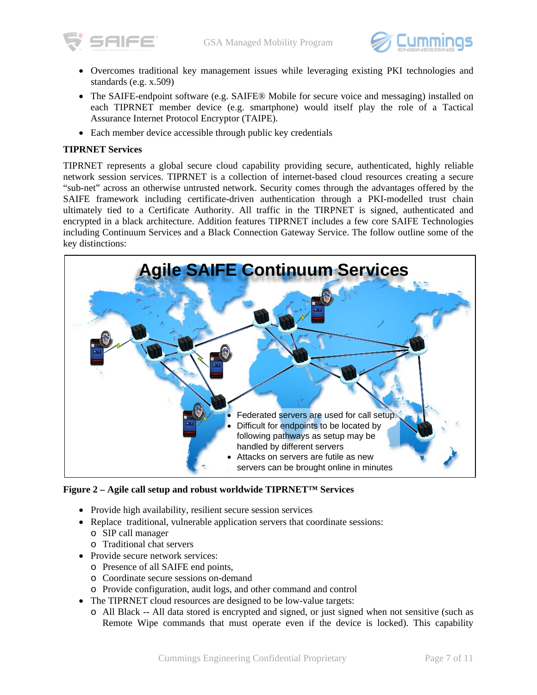



- Overcomes traditional key management issues while leveraging existing PKI technologies and standards (e.g. x.509)
- The SAIFE-endpoint software (e.g. SAIFE® Mobile for secure voice and messaging) installed on each TIPRNET member device (e.g. smartphone) would itself play the role of a Tactical Assurance Internet Protocol Encryptor (TAIPE).
- Each member device accessible through public key credentials

### **TIPRNET Services**

TIPRNET represents a global secure cloud capability providing secure, authenticated, highly reliable network session services. TIPRNET is a collection of internet-based cloud resources creating a secure "sub-net" across an otherwise untrusted network. Security comes through the advantages offered by the SAIFE framework including certificate-driven authentication through a PKI-modelled trust chain ultimately tied to a Certificate Authority. All traffic in the TIRPNET is signed, authenticated and encrypted in a black architecture. Addition features TIPRNET includes a few core SAIFE Technologies including Continuum Services and a Black Connection Gateway Service. The follow outline some of the key distinctions:



**Figure 2 – Agile call setup and robust worldwide TIPRNET™ Services**

- Provide high availability, resilient secure session services
- Replace traditional, vulnerable application servers that coordinate sessions:
	- o SIP call manager
	- o Traditional chat servers
- Provide secure network services:
	- o Presence of all SAIFE end points,
	- o Coordinate secure sessions on-demand
	- o Provide configuration, audit logs, and other command and control
- The TIPRNET cloud resources are designed to be low-value targets:
	- o All Black -- All data stored is encrypted and signed, or just signed when not sensitive (such as Remote Wipe commands that must operate even if the device is locked). This capability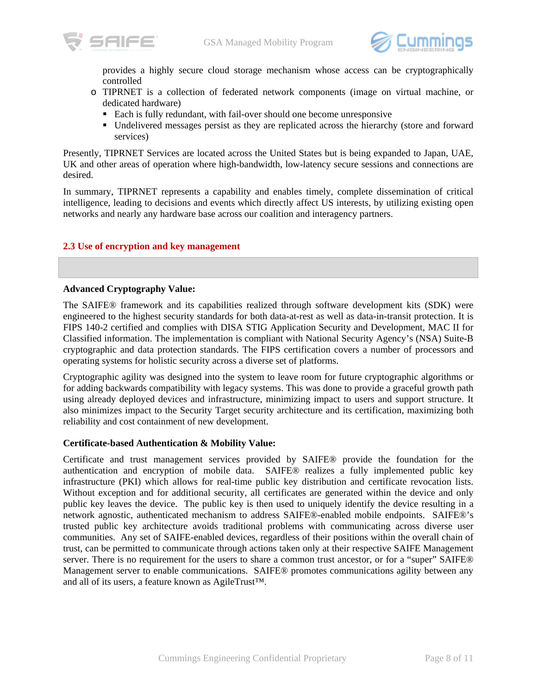



provides a highly secure cloud storage mechanism whose access can be cryptographically controlled

- o TIPRNET is a collection of federated network components (image on virtual machine, or dedicated hardware)
	- Each is fully redundant, with fail-over should one become unresponsive
	- Undelivered messages persist as they are replicated across the hierarchy (store and forward services)

Presently, TIPRNET Services are located across the United States but is being expanded to Japan, UAE, UK and other areas of operation where high-bandwidth, low-latency secure sessions and connections are desired.

In summary, TIPRNET represents a capability and enables timely, complete dissemination of critical intelligence, leading to decisions and events which directly affect US interests, by utilizing existing open networks and nearly any hardware base across our coalition and interagency partners.

#### **2.3 Use of encryption and key management**

#### **Advanced Cryptography Value:**

The SAIFE® framework and its capabilities realized through software development kits (SDK) were engineered to the highest security standards for both data-at-rest as well as data-in-transit protection. It is FIPS 140-2 certified and complies with DISA STIG Application Security and Development, MAC II for Classified information. The implementation is compliant with National Security Agency's (NSA) Suite-B cryptographic and data protection standards. The FIPS certification covers a number of processors and operating systems for holistic security across a diverse set of platforms.

Cryptographic agility was designed into the system to leave room for future cryptographic algorithms or for adding backwards compatibility with legacy systems. This was done to provide a graceful growth path using already deployed devices and infrastructure, minimizing impact to users and support structure. It also minimizes impact to the Security Target security architecture and its certification, maximizing both reliability and cost containment of new development.

#### **Certificate-based Authentication & Mobility Value:**

Certificate and trust management services provided by SAIFE® provide the foundation for the authentication and encryption of mobile data. SAIFE® realizes a fully implemented public key infrastructure (PKI) which allows for real-time public key distribution and certificate revocation lists. Without exception and for additional security, all certificates are generated within the device and only public key leaves the device. The public key is then used to uniquely identify the device resulting in a network agnostic, authenticated mechanism to address SAIFE®-enabled mobile endpoints. SAIFE®'s trusted public key architecture avoids traditional problems with communicating across diverse user communities. Any set of SAIFE-enabled devices, regardless of their positions within the overall chain of trust, can be permitted to communicate through actions taken only at their respective SAIFE Management server. There is no requirement for the users to share a common trust ancestor, or for a "super" SAIFE® Management server to enable communications. SAIFE® promotes communications agility between any and all of its users, a feature known as AgileTrust™.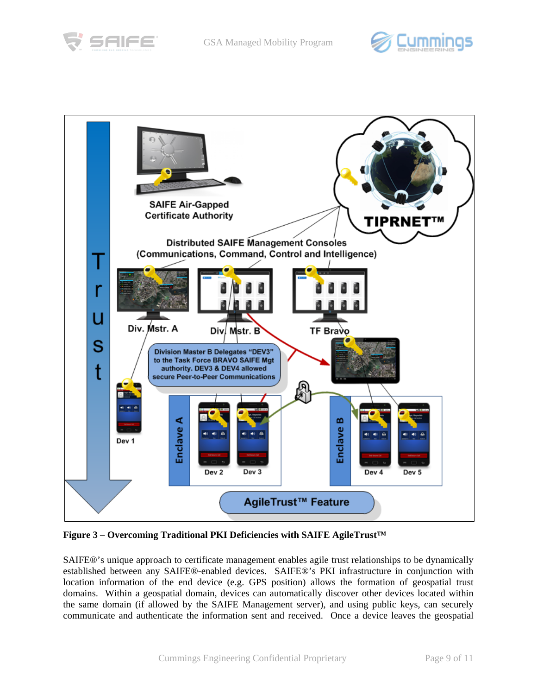





**Figure 3 – Overcoming Traditional PKI Deficiencies with SAIFE AgileTrust™**

SAIFE®'s unique approach to certificate management enables agile trust relationships to be dynamically established between any SAIFE®-enabled devices. SAIFE®'s PKI infrastructure in conjunction with location information of the end device (e.g. GPS position) allows the formation of geospatial trust domains. Within a geospatial domain, devices can automatically discover other devices located within the same domain (if allowed by the SAIFE Management server), and using public keys, can securely communicate and authenticate the information sent and received. Once a device leaves the geospatial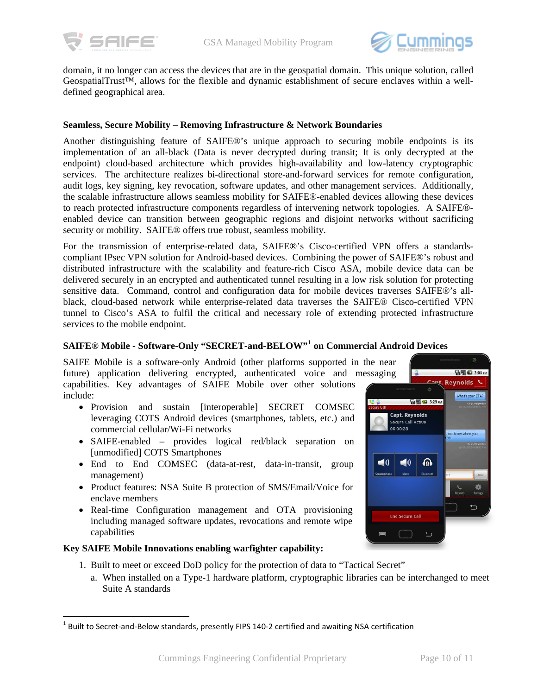



domain, it no longer can access the devices that are in the geospatial domain. This unique solution, called GeospatialTrust™, allows for the flexible and dynamic establishment of secure enclaves within a welldefined geographical area.

#### **Seamless, Secure Mobility – Removing Infrastructure & Network Boundaries**

Another distinguishing feature of SAIFE®'s unique approach to securing mobile endpoints is its implementation of an all-black (Data is never decrypted during transit; It is only decrypted at the endpoint) cloud-based architecture which provides high-availability and low-latency cryptographic services. The architecture realizes bi-directional store-and-forward services for remote configuration, audit logs, key signing, key revocation, software updates, and other management services. Additionally, the scalable infrastructure allows seamless mobility for SAIFE®-enabled devices allowing these devices to reach protected infrastructure components regardless of intervening network topologies. A SAIFE® enabled device can transition between geographic regions and disjoint networks without sacrificing security or mobility. SAIFE® offers true robust, seamless mobility.

For the transmission of enterprise-related data, SAIFE®'s Cisco-certified VPN offers a standardscompliant IPsec VPN solution for Android-based devices. Combining the power of SAIFE®'s robust and distributed infrastructure with the scalability and feature-rich Cisco ASA, mobile device data can be delivered securely in an encrypted and authenticated tunnel resulting in a low risk solution for protecting sensitive data. Command, control and configuration data for mobile devices traverses SAIFE®'s allblack, cloud-based network while enterprise-related data traverses the SAIFE® Cisco-certified VPN tunnel to Cisco's ASA to fulfil the critical and necessary role of extending protected infrastructure services to the mobile endpoint.

## **SAIFE® Mobile - Software-Only "SECRET-and-BELOW"[1](#page-9-0) on Commercial Android Devices**

SAIFE Mobile is a software-only Android (other platforms supported in the near future) application delivering encrypted, authenticated voice and messaging capabilities. Key advantages of SAIFE Mobile over other solutions include:

- Provision and sustain [interoperable] SECRET COMSEC leveraging COTS Android devices (smartphones, tablets, etc.) and commercial cellular/Wi-Fi networks
- SAIFE-enabled provides logical red/black separation on [unmodified] COTS Smartphones
- End to End COMSEC (data-at-rest, data-in-transit, group management)
- Product features: NSA Suite B protection of SMS/Email/Voice for enclave members
- Real-time Configuration management and OTA provisioning including managed software updates, revocations and remote wipe capabilities

#### **Key SAIFE Mobile Innovations enabling warfighter capability:**

 $\overline{a}$ 

- 1. Built to meet or exceed DoD policy for the protection of data to "Tactical Secret"
	- a. When installed on a Type-1 hardware platform, cryptographic libraries can be interchanged to meet Suite A standards

**输尿C 3:08 m** 

at's your ETA!

Cant. Reynolds

**新闻(3:25m** 

ெ

Capt. Reynolds Secure Call Active 00:00:28

 $\ket{\bullet}$ 

**End Secure Call** 

 $\blacktriangleleft$ 

 $\equiv$ 

<span id="page-9-0"></span> $<sup>1</sup>$  Built to Secret-and-Below standards, presently FIPS 140-2 certified and awaiting NSA certification</sup>